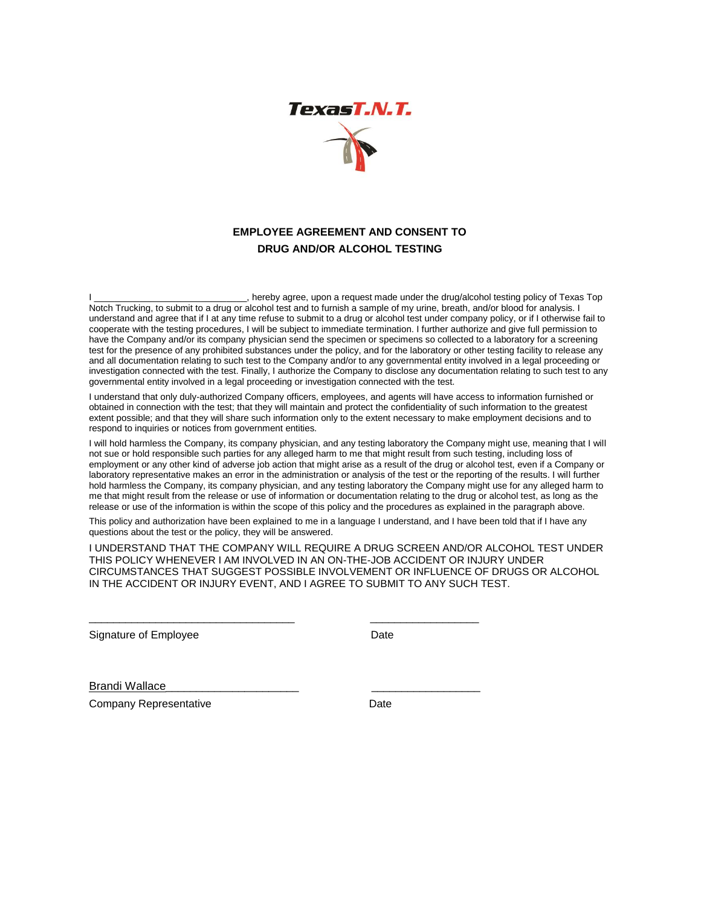

## **EMPLOYEE AGREEMENT AND CONSENT TO DRUG AND/OR ALCOHOL TESTING**

I \_\_\_\_\_\_\_\_\_\_\_\_\_\_\_\_\_\_\_\_\_\_\_\_\_\_\_\_\_\_, hereby agree, upon a request made under the drug/alcohol testing policy of Texas Top Notch Trucking, to submit to a drug or alcohol test and to furnish a sample of my urine, breath, and/or blood for analysis. I understand and agree that if I at any time refuse to submit to a drug or alcohol test under company policy, or if I otherwise fail to cooperate with the testing procedures, I will be subject to immediate termination. I further authorize and give full permission to have the Company and/or its company physician send the specimen or specimens so collected to a laboratory for a screening test for the presence of any prohibited substances under the policy, and for the laboratory or other testing facility to release any and all documentation relating to such test to the Company and/or to any governmental entity involved in a legal proceeding or investigation connected with the test. Finally, I authorize the Company to disclose any documentation relating to such test to any governmental entity involved in a legal proceeding or investigation connected with the test.

I understand that only duly-authorized Company officers, employees, and agents will have access to information furnished or obtained in connection with the test; that they will maintain and protect the confidentiality of such information to the greatest extent possible; and that they will share such information only to the extent necessary to make employment decisions and to respond to inquiries or notices from government entities.

I will hold harmless the Company, its company physician, and any testing laboratory the Company might use, meaning that I will not sue or hold responsible such parties for any alleged harm to me that might result from such testing, including loss of employment or any other kind of adverse job action that might arise as a result of the drug or alcohol test, even if a Company or laboratory representative makes an error in the administration or analysis of the test or the reporting of the results. I will further hold harmless the Company, its company physician, and any testing laboratory the Company might use for any alleged harm to me that might result from the release or use of information or documentation relating to the drug or alcohol test, as long as the release or use of the information is within the scope of this policy and the procedures as explained in the paragraph above.

This policy and authorization have been explained to me in a language I understand, and I have been told that if I have any questions about the test or the policy, they will be answered.

\_\_\_\_\_\_\_\_\_\_\_\_\_\_\_\_\_\_\_\_\_\_\_\_\_\_\_\_\_\_\_\_\_\_ \_\_\_\_\_\_\_\_\_\_\_\_\_\_\_\_\_\_

I UNDERSTAND THAT THE COMPANY WILL REQUIRE A DRUG SCREEN AND/OR ALCOHOL TEST UNDER THIS POLICY WHENEVER I AM INVOLVED IN AN ON-THE-JOB ACCIDENT OR INJURY UNDER CIRCUMSTANCES THAT SUGGEST POSSIBLE INVOLVEMENT OR INFLUENCE OF DRUGS OR ALCOHOL IN THE ACCIDENT OR INJURY EVENT, AND I AGREE TO SUBMIT TO ANY SUCH TEST.

Signature of Employee Date

Brandi Wallace

Company Representative **Date** Date